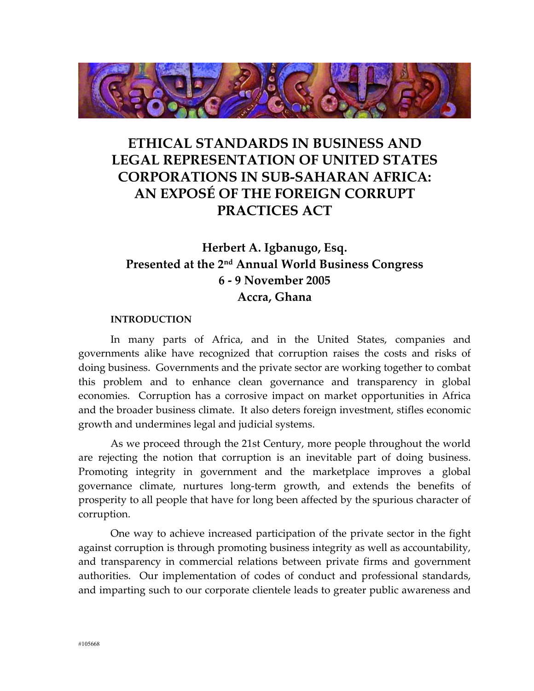

# **ETHICAL STANDARDS IN BUSINESS AND LEGAL REPRESENTATION OF UNITED STATES CORPORATIONS IN SUB-SAHARAN AFRICA: AN EXPOSÉ OF THE FOREIGN CORRUPT PRACTICES ACT**

# **Herbert A. Igbanugo, Esq. Presented at the 2nd Annual World Business Congress 6 - 9 November 2005 Accra, Ghana**

## **INTRODUCTION**

In many parts of Africa, and in the United States, companies and governments alike have recognized that corruption raises the costs and risks of doing business. Governments and the private sector are working together to combat this problem and to enhance clean governance and transparency in global economies. Corruption has a corrosive impact on market opportunities in Africa and the broader business climate. It also deters foreign investment, stifles economic growth and undermines legal and judicial systems.

As we proceed through the 21st Century, more people throughout the world are rejecting the notion that corruption is an inevitable part of doing business. Promoting integrity in government and the marketplace improves a global governance climate, nurtures long-term growth, and extends the benefits of prosperity to all people that have for long been affected by the spurious character of corruption.

One way to achieve increased participation of the private sector in the fight against corruption is through promoting business integrity as well as accountability, and transparency in commercial relations between private firms and government authorities. Our implementation of codes of conduct and professional standards, and imparting such to our corporate clientele leads to greater public awareness and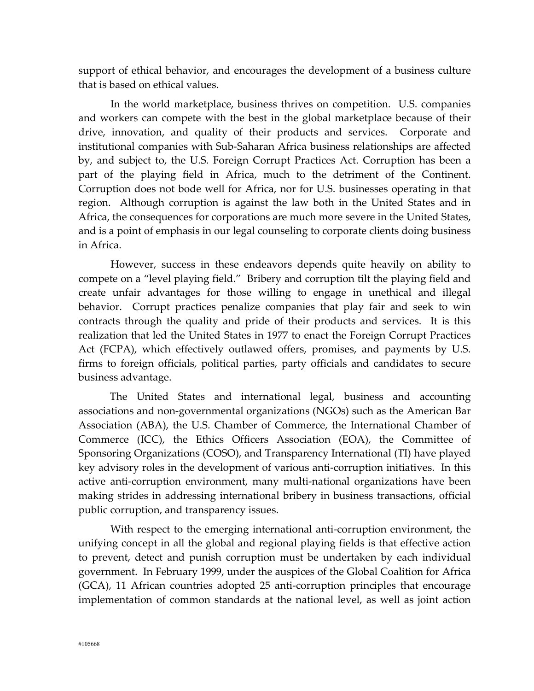support of ethical behavior, and encourages the development of a business culture that is based on ethical values.

In the world marketplace, business thrives on competition. U.S. companies and workers can compete with the best in the global marketplace because of their drive, innovation, and quality of their products and services. Corporate and institutional companies with Sub-Saharan Africa business relationships are affected by, and subject to, the U.S. Foreign Corrupt Practices Act. Corruption has been a part of the playing field in Africa, much to the detriment of the Continent. Corruption does not bode well for Africa, nor for U.S. businesses operating in that region. Although corruption is against the law both in the United States and in Africa, the consequences for corporations are much more severe in the United States, and is a point of emphasis in our legal counseling to corporate clients doing business in Africa.

However, success in these endeavors depends quite heavily on ability to compete on a "level playing field." Bribery and corruption tilt the playing field and create unfair advantages for those willing to engage in unethical and illegal behavior. Corrupt practices penalize companies that play fair and seek to win contracts through the quality and pride of their products and services. It is this realization that led the United States in 1977 to enact the Foreign Corrupt Practices Act (FCPA), which effectively outlawed offers, promises, and payments by U.S. firms to foreign officials, political parties, party officials and candidates to secure business advantage.

The United States and international legal, business and accounting associations and non-governmental organizations (NGOs) such as the American Bar Association (ABA), the U.S. Chamber of Commerce, the International Chamber of Commerce (ICC), the Ethics Officers Association (EOA), the Committee of Sponsoring Organizations (COSO), and Transparency International (TI) have played key advisory roles in the development of various anti-corruption initiatives. In this active anti-corruption environment, many multi-national organizations have been making strides in addressing international bribery in business transactions, official public corruption, and transparency issues.

With respect to the emerging international anti-corruption environment, the unifying concept in all the global and regional playing fields is that effective action to prevent, detect and punish corruption must be undertaken by each individual government. In February 1999, under the auspices of the Global Coalition for Africa (GCA), 11 African countries adopted 25 anti-corruption principles that encourage implementation of common standards at the national level, as well as joint action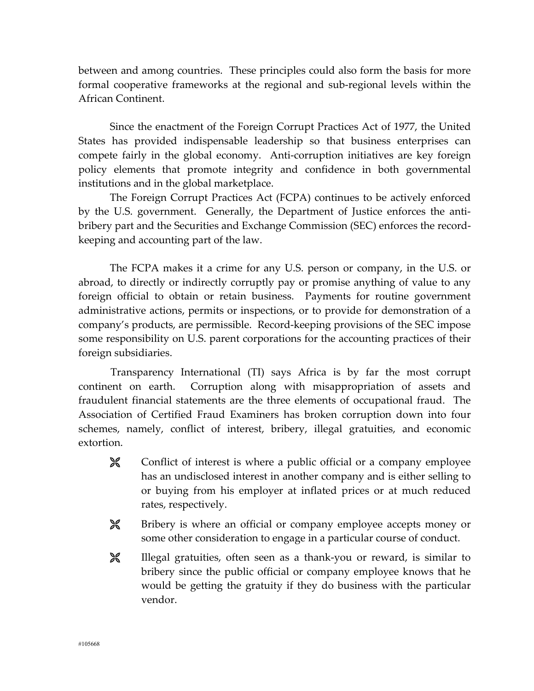between and among countries. These principles could also form the basis for more formal cooperative frameworks at the regional and sub-regional levels within the African Continent.

Since the enactment of the Foreign Corrupt Practices Act of 1977, the United States has provided indispensable leadership so that business enterprises can compete fairly in the global economy. Anti-corruption initiatives are key foreign policy elements that promote integrity and confidence in both governmental institutions and in the global marketplace.

The Foreign Corrupt Practices Act (FCPA) continues to be actively enforced by the U.S. government. Generally, the Department of Justice enforces the antibribery part and the Securities and Exchange Commission (SEC) enforces the recordkeeping and accounting part of the law.

The FCPA makes it a crime for any U.S. person or company, in the U.S. or abroad, to directly or indirectly corruptly pay or promise anything of value to any foreign official to obtain or retain business. Payments for routine government administrative actions, permits or inspections, or to provide for demonstration of a company's products, are permissible. Record-keeping provisions of the SEC impose some responsibility on U.S. parent corporations for the accounting practices of their foreign subsidiaries.

Transparency International (TI) says Africa is by far the most corrupt continent on earth. Corruption along with misappropriation of assets and fraudulent financial statements are the three elements of occupational fraud. The Association of Certified Fraud Examiners has broken corruption down into four schemes, namely, conflict of interest, bribery, illegal gratuities, and economic extortion.

- **EX** Conflict of interest is where a public official or a company employee has an undisclosed interest in another company and is either selling to or buying from his employer at inflated prices or at much reduced rates, respectively.
- ± Bribery is where an official or company employee accepts money or some other consideration to engage in a particular course of conduct.
- ± Illegal gratuities, often seen as a thank-you or reward, is similar to bribery since the public official or company employee knows that he would be getting the gratuity if they do business with the particular vendor.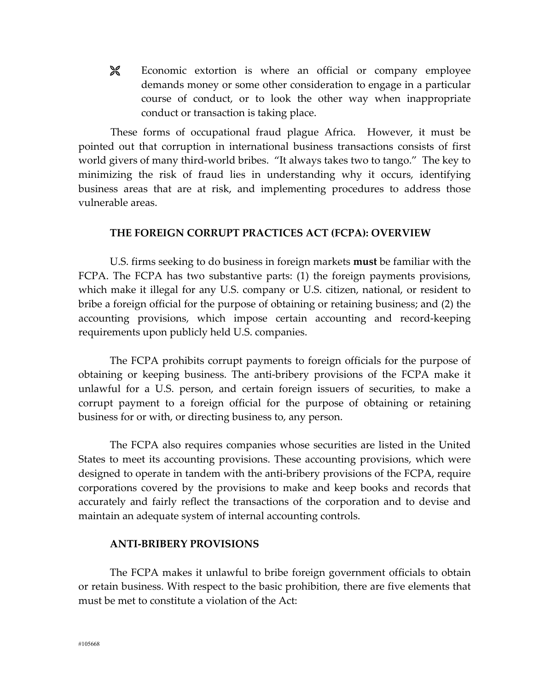± Economic extortion is where an official or company employee demands money or some other consideration to engage in a particular course of conduct, or to look the other way when inappropriate conduct or transaction is taking place.

These forms of occupational fraud plague Africa. However, it must be pointed out that corruption in international business transactions consists of first world givers of many third-world bribes. "It always takes two to tango." The key to minimizing the risk of fraud lies in understanding why it occurs, identifying business areas that are at risk, and implementing procedures to address those vulnerable areas.

### **THE FOREIGN CORRUPT PRACTICES ACT (FCPA): OVERVIEW**

U.S. firms seeking to do business in foreign markets **must** be familiar with the FCPA. The FCPA has two substantive parts: (1) the foreign payments provisions, which make it illegal for any U.S. company or U.S. citizen, national, or resident to bribe a foreign official for the purpose of obtaining or retaining business; and (2) the accounting provisions, which impose certain accounting and record-keeping requirements upon publicly held U.S. companies.

The FCPA prohibits corrupt payments to foreign officials for the purpose of obtaining or keeping business. The anti-bribery provisions of the FCPA make it unlawful for a U.S. person, and certain foreign issuers of securities, to make a corrupt payment to a foreign official for the purpose of obtaining or retaining business for or with, or directing business to, any person.

The FCPA also requires companies whose securities are listed in the United States to meet its accounting provisions. These accounting provisions, which were designed to operate in tandem with the anti-bribery provisions of the FCPA, require corporations covered by the provisions to make and keep books and records that accurately and fairly reflect the transactions of the corporation and to devise and maintain an adequate system of internal accounting controls.

#### **ANTI-BRIBERY PROVISIONS**

The FCPA makes it unlawful to bribe foreign government officials to obtain or retain business. With respect to the basic prohibition, there are five elements that must be met to constitute a violation of the Act: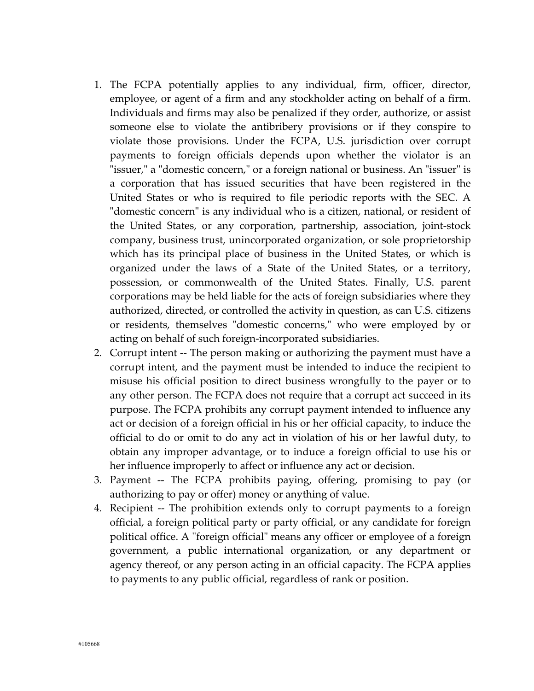- 1. The FCPA potentially applies to any individual, firm, officer, director, employee, or agent of a firm and any stockholder acting on behalf of a firm. Individuals and firms may also be penalized if they order, authorize, or assist someone else to violate the antibribery provisions or if they conspire to violate those provisions. Under the FCPA, U.S. jurisdiction over corrupt payments to foreign officials depends upon whether the violator is an "issuer," a "domestic concern," or a foreign national or business. An "issuer" is a corporation that has issued securities that have been registered in the United States or who is required to file periodic reports with the SEC. A "domestic concern" is any individual who is a citizen, national, or resident of the United States, or any corporation, partnership, association, joint-stock company, business trust, unincorporated organization, or sole proprietorship which has its principal place of business in the United States, or which is organized under the laws of a State of the United States, or a territory, possession, or commonwealth of the United States. Finally, U.S. parent corporations may be held liable for the acts of foreign subsidiaries where they authorized, directed, or controlled the activity in question, as can U.S. citizens or residents, themselves "domestic concerns," who were employed by or acting on behalf of such foreign-incorporated subsidiaries.
- 2. Corrupt intent -- The person making or authorizing the payment must have a corrupt intent, and the payment must be intended to induce the recipient to misuse his official position to direct business wrongfully to the payer or to any other person. The FCPA does not require that a corrupt act succeed in its purpose. The FCPA prohibits any corrupt payment intended to influence any act or decision of a foreign official in his or her official capacity, to induce the official to do or omit to do any act in violation of his or her lawful duty, to obtain any improper advantage, or to induce a foreign official to use his or her influence improperly to affect or influence any act or decision.
- 3. Payment -- The FCPA prohibits paying, offering, promising to pay (or authorizing to pay or offer) money or anything of value.
- 4. Recipient -- The prohibition extends only to corrupt payments to a foreign official, a foreign political party or party official, or any candidate for foreign political office. A "foreign official" means any officer or employee of a foreign government, a public international organization, or any department or agency thereof, or any person acting in an official capacity. The FCPA applies to payments to any public official, regardless of rank or position.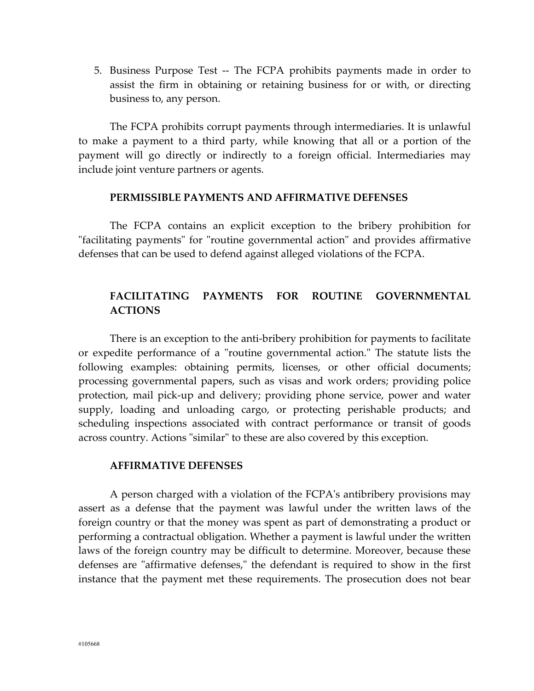5. Business Purpose Test -- The FCPA prohibits payments made in order to assist the firm in obtaining or retaining business for or with, or directing business to, any person.

The FCPA prohibits corrupt payments through intermediaries. It is unlawful to make a payment to a third party, while knowing that all or a portion of the payment will go directly or indirectly to a foreign official. Intermediaries may include joint venture partners or agents.

#### **PERMISSIBLE PAYMENTS AND AFFIRMATIVE DEFENSES**

The FCPA contains an explicit exception to the bribery prohibition for "facilitating payments" for "routine governmental action" and provides affirmative defenses that can be used to defend against alleged violations of the FCPA.

## **FACILITATING PAYMENTS FOR ROUTINE GOVERNMENTAL ACTIONS**

There is an exception to the anti-bribery prohibition for payments to facilitate or expedite performance of a "routine governmental action." The statute lists the following examples: obtaining permits, licenses, or other official documents; processing governmental papers, such as visas and work orders; providing police protection, mail pick-up and delivery; providing phone service, power and water supply, loading and unloading cargo, or protecting perishable products; and scheduling inspections associated with contract performance or transit of goods across country. Actions "similar" to these are also covered by this exception.

#### **AFFIRMATIVE DEFENSES**

A person charged with a violation of the FCPAʹs antibribery provisions may assert as a defense that the payment was lawful under the written laws of the foreign country or that the money was spent as part of demonstrating a product or performing a contractual obligation. Whether a payment is lawful under the written laws of the foreign country may be difficult to determine. Moreover, because these defenses are "affirmative defenses," the defendant is required to show in the first instance that the payment met these requirements. The prosecution does not bear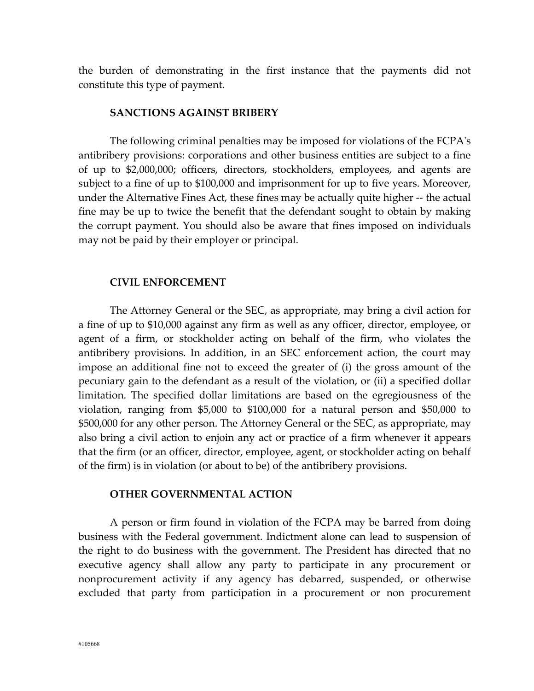the burden of demonstrating in the first instance that the payments did not constitute this type of payment.

#### **SANCTIONS AGAINST BRIBERY**

The following criminal penalties may be imposed for violations of the FCPAʹs antibribery provisions: corporations and other business entities are subject to a fine of up to \$2,000,000; officers, directors, stockholders, employees, and agents are subject to a fine of up to \$100,000 and imprisonment for up to five years. Moreover, under the Alternative Fines Act, these fines may be actually quite higher -- the actual fine may be up to twice the benefit that the defendant sought to obtain by making the corrupt payment. You should also be aware that fines imposed on individuals may not be paid by their employer or principal.

#### **CIVIL ENFORCEMENT**

The Attorney General or the SEC, as appropriate, may bring a civil action for a fine of up to \$10,000 against any firm as well as any officer, director, employee, or agent of a firm, or stockholder acting on behalf of the firm, who violates the antibribery provisions. In addition, in an SEC enforcement action, the court may impose an additional fine not to exceed the greater of (i) the gross amount of the pecuniary gain to the defendant as a result of the violation, or (ii) a specified dollar limitation. The specified dollar limitations are based on the egregiousness of the violation, ranging from \$5,000 to \$100,000 for a natural person and \$50,000 to \$500,000 for any other person. The Attorney General or the SEC, as appropriate, may also bring a civil action to enjoin any act or practice of a firm whenever it appears that the firm (or an officer, director, employee, agent, or stockholder acting on behalf of the firm) is in violation (or about to be) of the antibribery provisions.

### **OTHER GOVERNMENTAL ACTION**

A person or firm found in violation of the FCPA may be barred from doing business with the Federal government. Indictment alone can lead to suspension of the right to do business with the government. The President has directed that no executive agency shall allow any party to participate in any procurement or nonprocurement activity if any agency has debarred, suspended, or otherwise excluded that party from participation in a procurement or non procurement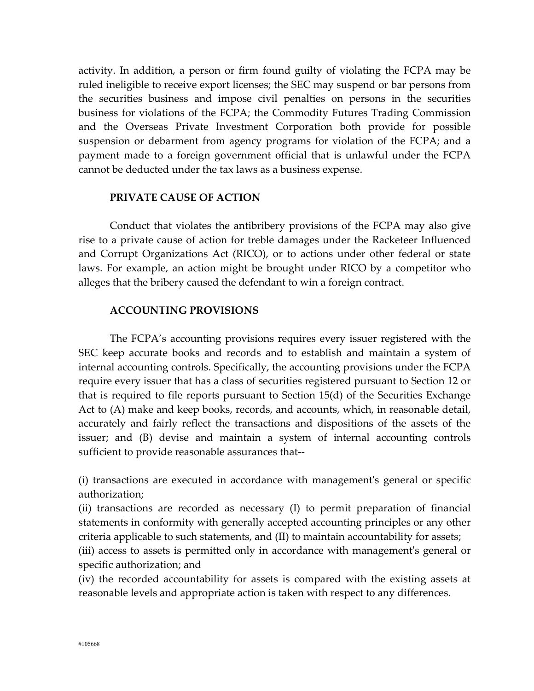activity. In addition, a person or firm found guilty of violating the FCPA may be ruled ineligible to receive export licenses; the SEC may suspend or bar persons from the securities business and impose civil penalties on persons in the securities business for violations of the FCPA; the Commodity Futures Trading Commission and the Overseas Private Investment Corporation both provide for possible suspension or debarment from agency programs for violation of the FCPA; and a payment made to a foreign government official that is unlawful under the FCPA cannot be deducted under the tax laws as a business expense.

## **PRIVATE CAUSE OF ACTION**

Conduct that violates the antibribery provisions of the FCPA may also give rise to a private cause of action for treble damages under the Racketeer Influenced and Corrupt Organizations Act (RICO), or to actions under other federal or state laws. For example, an action might be brought under RICO by a competitor who alleges that the bribery caused the defendant to win a foreign contract.

## **ACCOUNTING PROVISIONS**

The FCPA's accounting provisions requires every issuer registered with the SEC keep accurate books and records and to establish and maintain a system of internal accounting controls. Specifically, the accounting provisions under the FCPA require every issuer that has a class of securities registered pursuant to Section 12 or that is required to file reports pursuant to Section 15(d) of the Securities Exchange Act to (A) make and keep books, records, and accounts, which, in reasonable detail, accurately and fairly reflect the transactions and dispositions of the assets of the issuer; and (B) devise and maintain a system of internal accounting controls sufficient to provide reasonable assurances that--

(i) transactions are executed in accordance with managementʹs general or specific authorization;

(ii) transactions are recorded as necessary (I) to permit preparation of financial statements in conformity with generally accepted accounting principles or any other criteria applicable to such statements, and (II) to maintain accountability for assets;

(iii) access to assets is permitted only in accordance with managementʹs general or specific authorization; and

(iv) the recorded accountability for assets is compared with the existing assets at reasonable levels and appropriate action is taken with respect to any differences.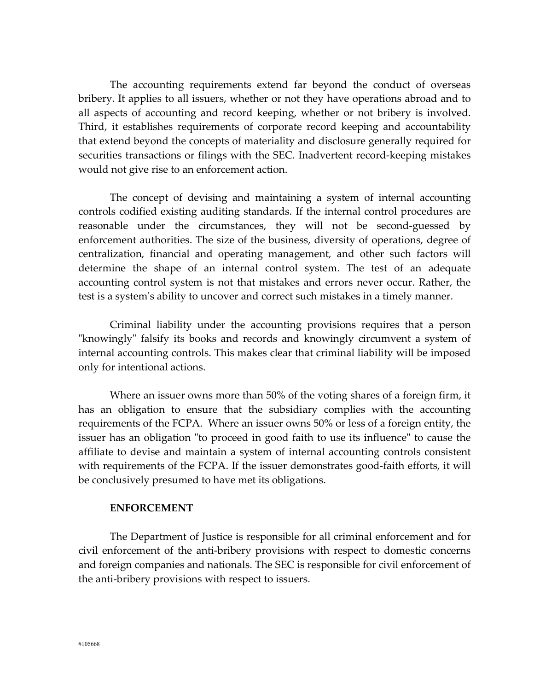The accounting requirements extend far beyond the conduct of overseas bribery. It applies to all issuers, whether or not they have operations abroad and to all aspects of accounting and record keeping, whether or not bribery is involved. Third, it establishes requirements of corporate record keeping and accountability that extend beyond the concepts of materiality and disclosure generally required for securities transactions or filings with the SEC. Inadvertent record-keeping mistakes would not give rise to an enforcement action.

The concept of devising and maintaining a system of internal accounting controls codified existing auditing standards. If the internal control procedures are reasonable under the circumstances, they will not be second-guessed by enforcement authorities. The size of the business, diversity of operations, degree of centralization, financial and operating management, and other such factors will determine the shape of an internal control system. The test of an adequate accounting control system is not that mistakes and errors never occur. Rather, the test is a systemʹs ability to uncover and correct such mistakes in a timely manner.

Criminal liability under the accounting provisions requires that a person "knowingly" falsify its books and records and knowingly circumvent a system of internal accounting controls. This makes clear that criminal liability will be imposed only for intentional actions.

Where an issuer owns more than 50% of the voting shares of a foreign firm, it has an obligation to ensure that the subsidiary complies with the accounting requirements of the FCPA. Where an issuer owns 50% or less of a foreign entity, the issuer has an obligation "to proceed in good faith to use its influence" to cause the affiliate to devise and maintain a system of internal accounting controls consistent with requirements of the FCPA. If the issuer demonstrates good-faith efforts, it will be conclusively presumed to have met its obligations.

## **ENFORCEMENT**

The Department of Justice is responsible for all criminal enforcement and for civil enforcement of the anti-bribery provisions with respect to domestic concerns and foreign companies and nationals. The SEC is responsible for civil enforcement of the anti-bribery provisions with respect to issuers.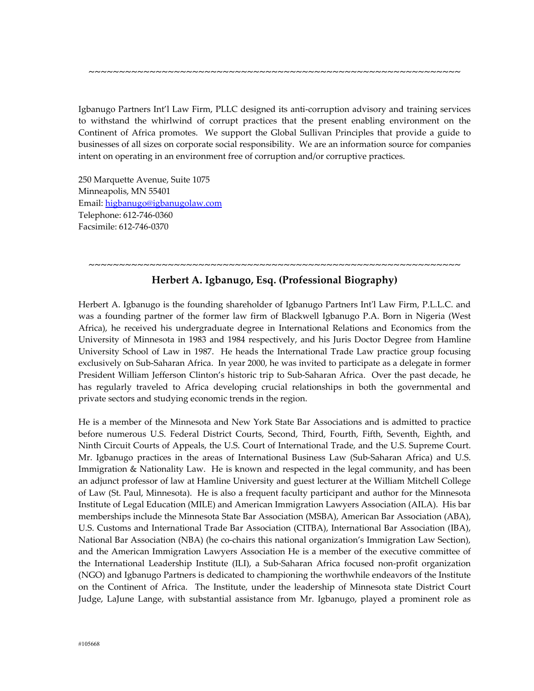~~~~~~~~~~~~~~~~~~~~~~~~~~~~~~~~~~~~~~~~~~~~~~~~~~~~~~~~~~~~~

Igbanugo Partners Int'l Law Firm, PLLC designed its anti-corruption advisory and training services to withstand the whirlwind of corrupt practices that the present enabling environment on the Continent of Africa promotes. We support the Global Sullivan Principles that provide a guide to businesses of all sizes on corporate social responsibility. We are an information source for companies intent on operating in an environment free of corruption and/or corruptive practices.

250 Marquette Avenue, Suite 1075 Minneapolis, MN 55401 Email: [higbanugo@igbanugolaw.com](mailto:higbanugo@igbanugolaw.com) Telephone: 612-746-0360 Facsimile: 612-746-0370

## ~~~~~~~~~~~~~~~~~~~~~~~~~~~~~~~~~~~~~~~~~~~~~~~~~~~~~~~~~~~~~ **Herbert A. Igbanugo, Esq. (Professional Biography)**

Herbert A. Igbanugo is the founding shareholder of Igbanugo Partners Int'l Law Firm, P.L.L.C. and was a founding partner of the former law firm of Blackwell Igbanugo P.A. Born in Nigeria (West Africa), he received his undergraduate degree in International Relations and Economics from the University of Minnesota in 1983 and 1984 respectively, and his Juris Doctor Degree from Hamline University School of Law in 1987. He heads the International Trade Law practice group focusing exclusively on Sub-Saharan Africa. In year 2000, he was invited to participate as a delegate in former President William Jefferson Clinton's historic trip to Sub-Saharan Africa. Over the past decade, he has regularly traveled to Africa developing crucial relationships in both the governmental and private sectors and studying economic trends in the region.

He is a member of the Minnesota and New York State Bar Associations and is admitted to practice before numerous U.S. Federal District Courts, Second, Third, Fourth, Fifth, Seventh, Eighth, and Ninth Circuit Courts of Appeals, the U.S. Court of International Trade, and the U.S. Supreme Court. Mr. Igbanugo practices in the areas of International Business Law (Sub-Saharan Africa) and U.S. Immigration & Nationality Law. He is known and respected in the legal community, and has been an adjunct professor of law at Hamline University and guest lecturer at the William Mitchell College of Law (St. Paul, Minnesota). He is also a frequent faculty participant and author for the Minnesota Institute of Legal Education (MILE) and American Immigration Lawyers Association (AILA). His bar memberships include the Minnesota State Bar Association (MSBA), American Bar Association (ABA), U.S. Customs and International Trade Bar Association (CITBA), International Bar Association (IBA), National Bar Association (NBA) (he co-chairs this national organization's Immigration Law Section), and the American Immigration Lawyers Association He is a member of the executive committee of the International Leadership Institute (ILI), a Sub-Saharan Africa focused non-profit organization (NGO) and Igbanugo Partners is dedicated to championing the worthwhile endeavors of the Institute on the Continent of Africa. The Institute, under the leadership of Minnesota state District Court Judge, LaJune Lange, with substantial assistance from Mr. Igbanugo, played a prominent role as